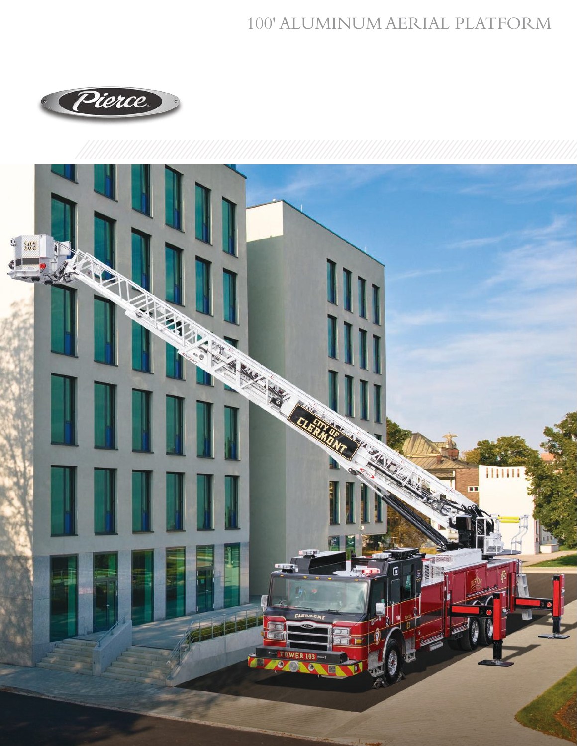## 100' ALUMINUM AERIAL PLATFORM